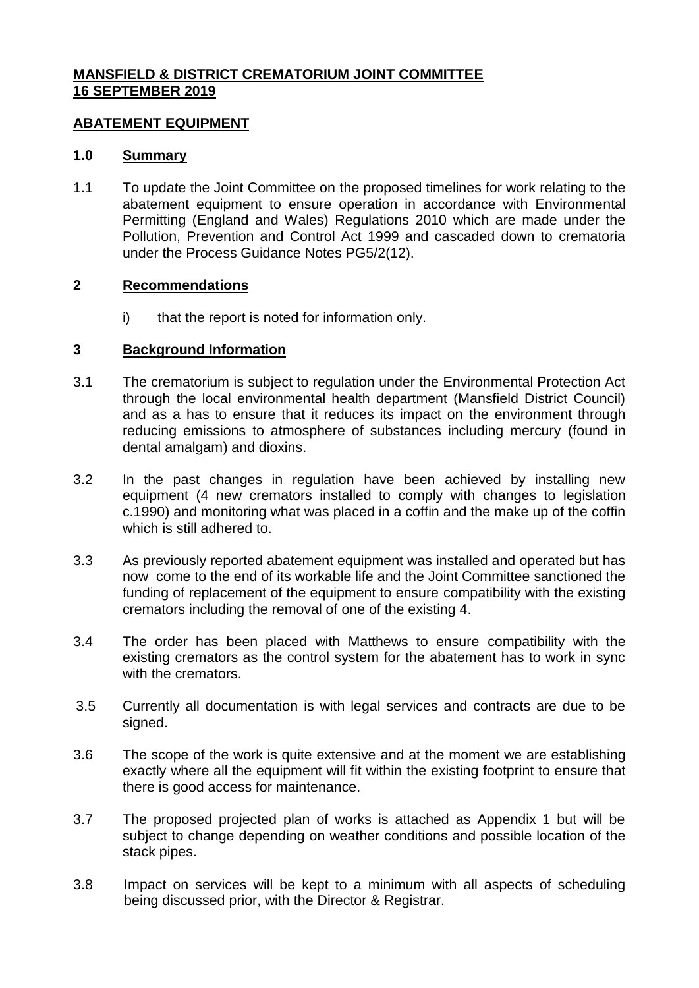# **MANSFIELD & DISTRICT CREMATORIUM JOINT COMMITTEE 16 SEPTEMBER 2019**

### **ABATEMENT EQUIPMENT**

### **1.0 Summary**

1.1 To update the Joint Committee on the proposed timelines for work relating to the abatement equipment to ensure operation in accordance with Environmental Permitting (England and Wales) Regulations 2010 which are made under the Pollution, Prevention and Control Act 1999 and cascaded down to crematoria under the Process Guidance Notes PG5/2(12).

### **2 Recommendations**

i) that the report is noted for information only.

### **3 Background Information**

- 3.1 The crematorium is subject to regulation under the Environmental Protection Act through the local environmental health department (Mansfield District Council) and as a has to ensure that it reduces its impact on the environment through reducing emissions to atmosphere of substances including mercury (found in dental amalgam) and dioxins.
- 3.2 In the past changes in regulation have been achieved by installing new equipment (4 new cremators installed to comply with changes to legislation c.1990) and monitoring what was placed in a coffin and the make up of the coffin which is still adhered to.
- 3.3 As previously reported abatement equipment was installed and operated but has now come to the end of its workable life and the Joint Committee sanctioned the funding of replacement of the equipment to ensure compatibility with the existing cremators including the removal of one of the existing 4.
- 3.4 The order has been placed with Matthews to ensure compatibility with the existing cremators as the control system for the abatement has to work in sync with the cremators.
- 3.5 Currently all documentation is with legal services and contracts are due to be signed.
- 3.6 The scope of the work is quite extensive and at the moment we are establishing exactly where all the equipment will fit within the existing footprint to ensure that there is good access for maintenance.
- 3.7 The proposed projected plan of works is attached as Appendix 1 but will be subject to change depending on weather conditions and possible location of the stack pipes.
- 3.8 Impact on services will be kept to a minimum with all aspects of scheduling being discussed prior, with the Director & Registrar.